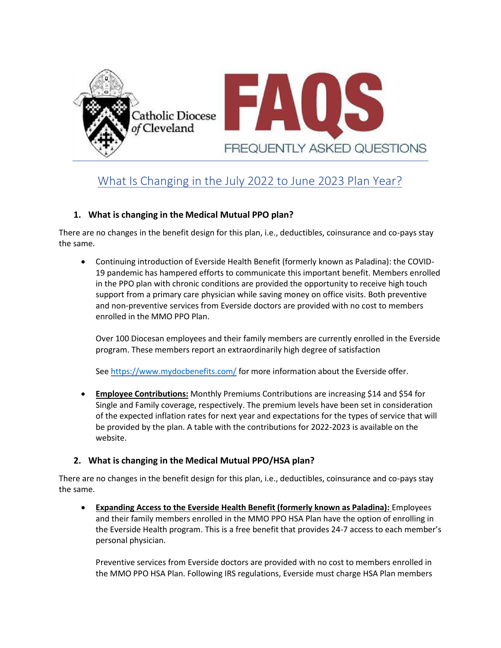

# What Is Changing in the July 2022 to June 2023 Plan Year?

### **1. What is changing in the Medical Mutual PPO plan?**

There are no changes in the benefit design for this plan, i.e., deductibles, coinsurance and co-pays stay the same.

• Continuing introduction of Everside Health Benefit (formerly known as Paladina): the COVID-19 pandemic has hampered efforts to communicate this important benefit. Members enrolled in the PPO plan with chronic conditions are provided the opportunity to receive high touch support from a primary care physician while saving money on office visits. Both preventive and non-preventive services from Everside doctors are provided with no cost to members enrolled in the MMO PPO Plan.

Over 100 Diocesan employees and their family members are currently enrolled in the Everside program. These members report an extraordinarily high degree of satisfaction

See <https://www.mydocbenefits.com/> for more information about the Everside offer.

• **Employee Contributions:** Monthly Premiums Contributions are increasing \$14 and \$54 for Single and Family coverage, respectively. The premium levels have been set in consideration of the expected inflation rates for next year and expectations for the types of service that will be provided by the plan. A table with the contributions for 2022-2023 is available on the website.

#### **2. What is changing in the Medical Mutual PPO/HSA plan?**

There are no changes in the benefit design for this plan, i.e., deductibles, coinsurance and co-pays stay the same.

• **Expanding Access to the Everside Health Benefit (formerly known as Paladina):** Employees and their family members enrolled in the MMO PPO HSA Plan have the option of enrolling in the Everside Health program. This is a free benefit that provides 24-7 access to each member's personal physician.

Preventive services from Everside doctors are provided with no cost to members enrolled in the MMO PPO HSA Plan. Following IRS regulations, Everside must charge HSA Plan members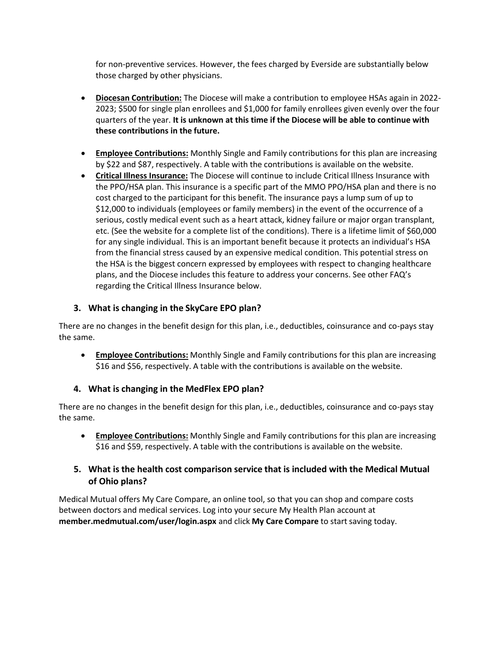for non-preventive services. However, the fees charged by Everside are substantially below those charged by other physicians.

- **Diocesan Contribution:** The Diocese will make a contribution to employee HSAs again in 2022- 2023; \$500 for single plan enrollees and \$1,000 for family enrollees given evenly over the four quarters of the year. **It is unknown at this time if the Diocese will be able to continue with these contributions in the future.**
- **Employee Contributions:** Monthly Single and Family contributions for this plan are increasing by \$22 and \$87, respectively. A table with the contributions is available on the website.
- **Critical Illness Insurance:** The Diocese will continue to include Critical Illness Insurance with the PPO/HSA plan. This insurance is a specific part of the MMO PPO/HSA plan and there is no cost charged to the participant for this benefit. The insurance pays a lump sum of up to \$12,000 to individuals (employees or family members) in the event of the occurrence of a serious, costly medical event such as a heart attack, kidney failure or major organ transplant, etc. (See the website for a complete list of the conditions). There is a lifetime limit of \$60,000 for any single individual. This is an important benefit because it protects an individual's HSA from the financial stress caused by an expensive medical condition. This potential stress on the HSA is the biggest concern expressed by employees with respect to changing healthcare plans, and the Diocese includes this feature to address your concerns. See other FAQ's regarding the Critical Illness Insurance below.

# **3. What is changing in the SkyCare EPO plan?**

There are no changes in the benefit design for this plan, i.e., deductibles, coinsurance and co-pays stay the same.

• **Employee Contributions:** Monthly Single and Family contributions for this plan are increasing \$16 and \$56, respectively. A table with the contributions is available on the website.

# **4. What is changing in the MedFlex EPO plan?**

There are no changes in the benefit design for this plan, i.e., deductibles, coinsurance and co-pays stay the same.

• **Employee Contributions:** Monthly Single and Family contributions for this plan are increasing \$16 and \$59, respectively. A table with the contributions is available on the website.

### **5. What is the health cost comparison service that is included with the Medical Mutual of Ohio plans?**

Medical Mutual offers My Care Compare, an online tool, so that you can shop and compare costs between doctors and medical services. Log into your secure My Health Plan account at **member.medmutual.com/user/login.aspx** and click **My Care Compare** to startsaving today.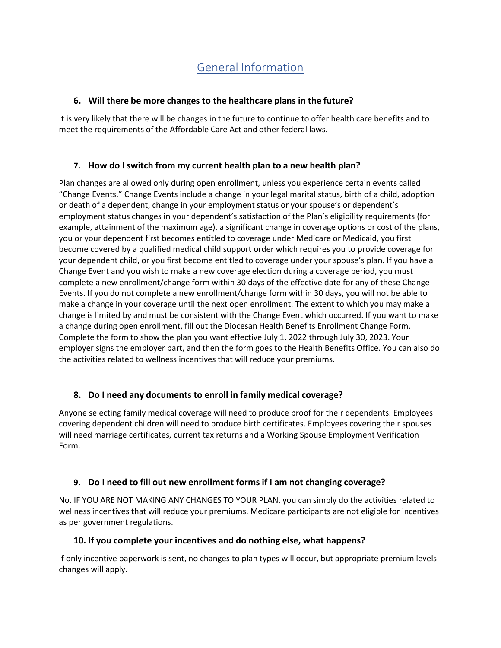# General Information

### **6. Will there be more changes to the healthcare plans in the future?**

It is very likely that there will be changes in the future to continue to offer health care benefits and to meet the requirements of the Affordable Care Act and other federal laws.

### **7. How do I switch from my current health plan to a new health plan?**

Plan changes are allowed only during open enrollment, unless you experience certain events called "Change Events." Change Events include a change in your legal marital status, birth of a child, adoption or death of a dependent, change in your employment status or your spouse's or dependent's employment status changes in your dependent's satisfaction of the Plan's eligibility requirements (for example, attainment of the maximum age), a significant change in coverage options or cost of the plans, you or your dependent first becomes entitled to coverage under Medicare or Medicaid, you first become covered by a qualified medical child support order which requires you to provide coverage for your dependent child, or you first become entitled to coverage under your spouse's plan. If you have a Change Event and you wish to make a new coverage election during a coverage period, you must complete a new enrollment/change form within 30 days of the effective date for any of these Change Events. If you do not complete a new enrollment/change form within 30 days, you will not be able to make a change in your coverage until the next open enrollment. The extent to which you may make a change is limited by and must be consistent with the Change Event which occurred. If you want to make a change during open enrollment, fill out the Diocesan Health Benefits Enrollment Change Form. Complete the form to show the plan you want effective July 1, 2022 through July 30, 2023. Your employer signs the employer part, and then the form goes to the Health Benefits Office. You can also do the activities related to wellness incentives that will reduce your premiums.

# **8. Do I need any documents to enroll in family medical coverage?**

Anyone selecting family medical coverage will need to produce proof for their dependents. Employees covering dependent children will need to produce birth certificates. Employees covering their spouses will need marriage certificates, current tax returns and a Working Spouse Employment Verification Form.

# **9. Do I need to fill out new enrollment forms if I am not changing coverage?**

No. IF YOU ARE NOT MAKING ANY CHANGES TO YOUR PLAN, you can simply do the activities related to wellness incentives that will reduce your premiums. Medicare participants are not eligible for incentives as per government regulations.

#### **10. If you complete your incentives and do nothing else, what happens?**

If only incentive paperwork is sent, no changes to plan types will occur, but appropriate premium levels changes will apply.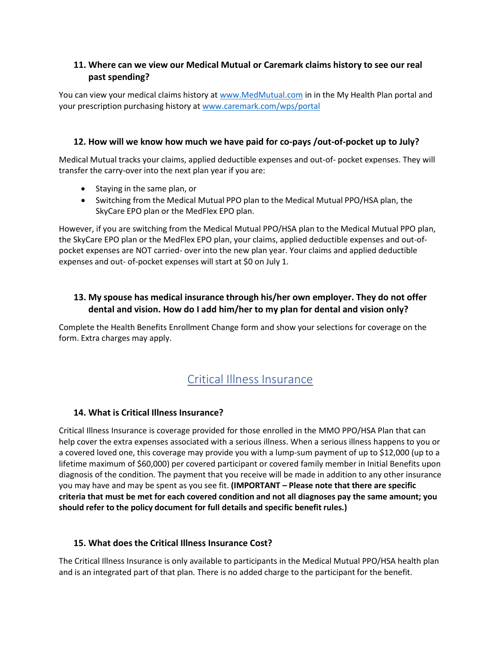# **11. Where can we view our Medical Mutual or Caremark claims history to see our real past spending?**

You can view your medical claims history a[t www.MedMutual.com](http://www.medmutual.com/) in in the My Health Plan portal and your prescription purchasing history at [www.caremark.com/wps/portal](http://www.caremark.com/wps/portal)

# **12. How will we know how much we have paid for co-pays /out-of-pocket up to July?**

Medical Mutual tracks your claims, applied deductible expenses and out-of- pocket expenses. They will transfer the carry-over into the next plan year if you are:

- Staying in the same plan, or
- Switching from the Medical Mutual PPO plan to the Medical Mutual PPO/HSA plan, the SkyCare EPO plan or the MedFlex EPO plan.

However, if you are switching from the Medical Mutual PPO/HSA plan to the Medical Mutual PPO plan, the SkyCare EPO plan or the MedFlex EPO plan, your claims, applied deductible expenses and out-ofpocket expenses are NOT carried- over into the new plan year. Your claims and applied deductible expenses and out- of-pocket expenses will start at \$0 on July 1.

# **13. My spouse has medical insurance through his/her own employer. They do not offer dental and vision. How do I add him/her to my plan for dental and vision only?**

Complete the Health Benefits Enrollment Change form and show your selections for coverage on the form. Extra charges may apply.

# Critical Illness Insurance

# **14. What is Critical Illness Insurance?**

Critical Illness Insurance is coverage provided for those enrolled in the MMO PPO/HSA Plan that can help cover the extra expenses associated with a serious illness. When a serious illness happens to you or a covered loved one, this coverage may provide you with a lump-sum payment of up to \$12,000 (up to a lifetime maximum of \$60,000) per covered participant or covered family member in Initial Benefits upon diagnosis of the condition. The payment that you receive will be made in addition to any other insurance you may have and may be spent as you see fit. **(IMPORTANT – Please note that there are specific criteria that must be met for each covered condition and not all diagnoses pay the same amount; you should refer to the policy document for full details and specific benefit rules.)**

# **15. What does the Critical Illness Insurance Cost?**

The Critical Illness Insurance is only available to participants in the Medical Mutual PPO/HSA health plan and is an integrated part of that plan. There is no added charge to the participant for the benefit.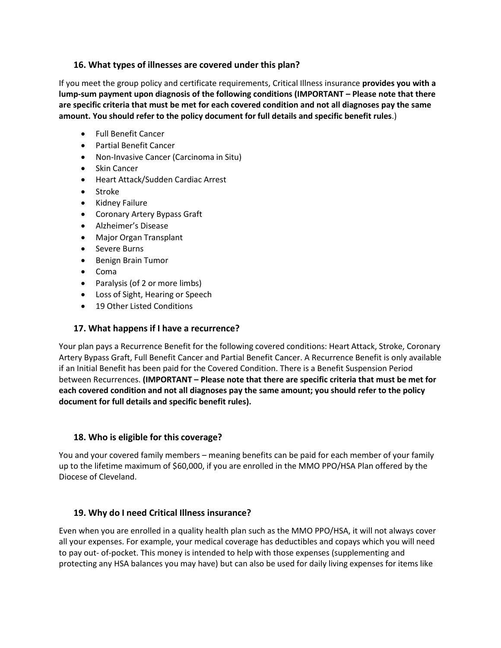#### **16. What types of illnesses are covered under this plan?**

If you meet the group policy and certificate requirements, Critical Illness insurance **provides you with a lump-sum payment upon diagnosis of the following conditions (IMPORTANT – Please note that there are specific criteria that must be met for each covered condition and not all diagnoses pay the same amount. You should refer to the policy document for full details and specific benefit rules**.)

- Full Benefit Cancer
- Partial Benefit Cancer
- Non-Invasive Cancer (Carcinoma in Situ)
- **Skin Cancer**
- Heart Attack/Sudden Cardiac Arrest
- Stroke
- Kidney Failure
- Coronary Artery Bypass Graft
- Alzheimer's Disease
- Major Organ Transplant
- Severe Burns
- Benign Brain Tumor
- Coma
- Paralysis (of 2 or more limbs)
- Loss of Sight, Hearing or Speech
- 19 Other Listed Conditions

## **17. What happens if I have a recurrence?**

Your plan pays a Recurrence Benefit for the following covered conditions: Heart Attack, Stroke, Coronary Artery Bypass Graft, Full Benefit Cancer and Partial Benefit Cancer. A Recurrence Benefit is only available if an Initial Benefit has been paid for the Covered Condition. There is a Benefit Suspension Period between Recurrences. **(IMPORTANT – Please note that there are specific criteria that must be met for each covered condition and not all diagnoses pay the same amount; you should refer to the policy document for full details and specific benefit rules).**

### **18. Who is eligible for this coverage?**

You and your covered family members – meaning benefits can be paid for each member of your family up to the lifetime maximum of \$60,000, if you are enrolled in the MMO PPO/HSA Plan offered by the Diocese of Cleveland.

# **19. Why do I need Critical Illness insurance?**

Even when you are enrolled in a quality health plan such as the MMO PPO/HSA, it will not always cover all your expenses. For example, your medical coverage has deductibles and copays which you will need to pay out- of-pocket. This money is intended to help with those expenses (supplementing and protecting any HSA balances you may have) but can also be used for daily living expenses for items like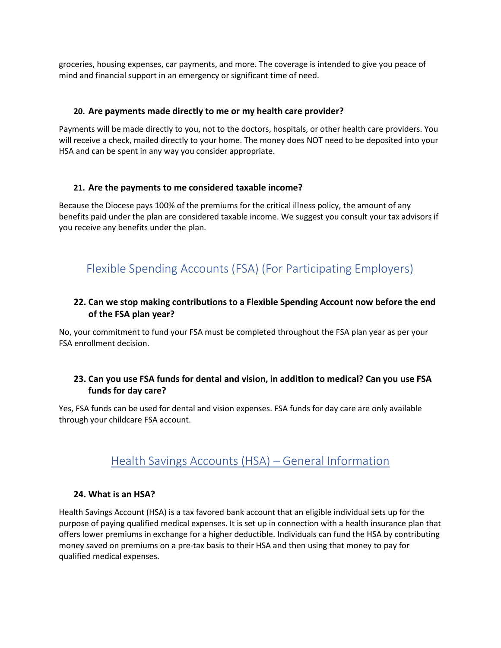groceries, housing expenses, car payments, and more. The coverage is intended to give you peace of mind and financial support in an emergency or significant time of need.

#### **20. Are payments made directly to me or my health care provider?**

Payments will be made directly to you, not to the doctors, hospitals, or other health care providers. You will receive a check, mailed directly to your home. The money does NOT need to be deposited into your HSA and can be spent in any way you consider appropriate.

#### **21. Are the payments to me considered taxable income?**

Because the Diocese pays 100% of the premiums for the critical illness policy, the amount of any benefits paid under the plan are considered taxable income. We suggest you consult your tax advisors if you receive any benefits under the plan.

# Flexible Spending Accounts (FSA) (For Participating Employers)

### **22. Can we stop making contributions to a Flexible Spending Account now before the end of the FSA plan year?**

No, your commitment to fund your FSA must be completed throughout the FSA plan year as per your FSA enrollment decision.

### **23. Can you use FSA funds for dental and vision, in addition to medical? Can you use FSA funds for day care?**

Yes, FSA funds can be used for dental and vision expenses. FSA funds for day care are only available through your childcare FSA account.

# Health Savings Accounts (HSA) – General Information

#### **24. What is an HSA?**

Health Savings Account (HSA) is a tax favored bank account that an eligible individual sets up for the purpose of paying qualified medical expenses. It is set up in connection with a health insurance plan that offers lower premiums in exchange for a higher deductible. Individuals can fund the HSA by contributing money saved on premiums on a pre-tax basis to their HSA and then using that money to pay for qualified medical expenses.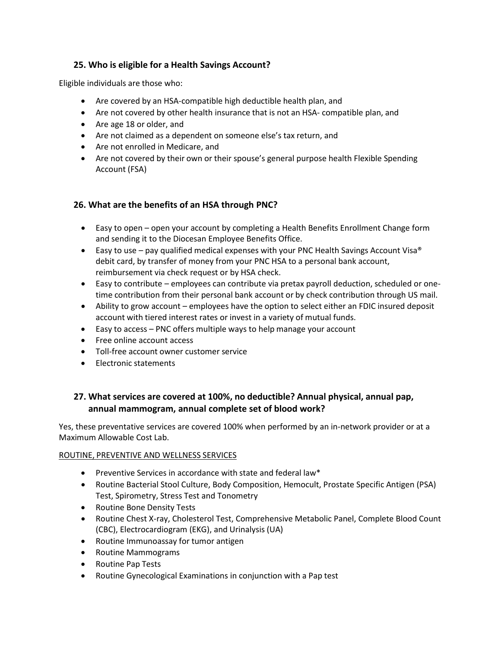# **25. Who is eligible for a Health Savings Account?**

Eligible individuals are those who:

- Are covered by an HSA-compatible high deductible health plan, and
- Are not covered by other health insurance that is not an HSA- compatible plan, and
- Are age 18 or older, and
- Are not claimed as a dependent on someone else's tax return, and
- Are not enrolled in Medicare, and
- Are not covered by their own or their spouse's general purpose health Flexible Spending Account (FSA)

### **26. What are the benefits of an HSA through PNC?**

- Easy to open open your account by completing a Health Benefits Enrollment Change form and sending it to the Diocesan Employee Benefits Office.
- Easy to use pay qualified medical expenses with your PNC Health Savings Account Visa<sup>®</sup> debit card, by transfer of money from your PNC HSA to a personal bank account, reimbursement via check request or by HSA check.
- Easy to contribute employees can contribute via pretax payroll deduction, scheduled or onetime contribution from their personal bank account or by check contribution through US mail.
- Ability to grow account employees have the option to select either an FDIC insured deposit account with tiered interest rates or invest in a variety of mutual funds.
- Easy to access PNC offers multiple ways to help manage your account
- Free online account access
- Toll-free account owner customer service
- Electronic statements

# **27. What services are covered at 100%, no deductible? Annual physical, annual pap, annual mammogram, annual complete set of blood work?**

Yes, these preventative services are covered 100% when performed by an in-network provider or at a Maximum Allowable Cost Lab.

#### ROUTINE, PREVENTIVE AND WELLNESS SERVICES

- Preventive Services in accordance with state and federal law\*
- Routine Bacterial Stool Culture, Body Composition, Hemocult, Prostate Specific Antigen (PSA) Test, Spirometry, Stress Test and Tonometry
- Routine Bone Density Tests
- Routine Chest X-ray, Cholesterol Test, Comprehensive Metabolic Panel, Complete Blood Count (CBC), Electrocardiogram (EKG), and Urinalysis (UA)
- Routine Immunoassay for tumor antigen
- Routine Mammograms
- Routine Pap Tests
- Routine Gynecological Examinations in conjunction with a Pap test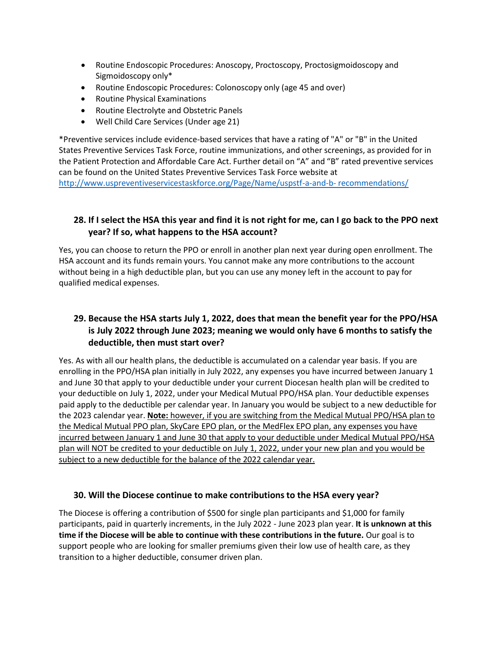- Routine Endoscopic Procedures: Anoscopy, Proctoscopy, Proctosigmoidoscopy and Sigmoidoscopy only\*
- Routine Endoscopic Procedures: Colonoscopy only (age 45 and over)
- Routine Physical Examinations
- Routine Electrolyte and Obstetric Panels
- Well Child Care Services (Under age 21)

\*Preventive services include evidence-based services that have a rating of "A" or "B" in the United States Preventive Services Task Force, routine immunizations, and other screenings, as provided for in the Patient Protection and Affordable Care Act. Further detail on "A" and "B" rated preventive services can be found on the United States Preventive Services Task Force website at [http://www.uspreventiveservicestaskforce.org/Page/Name/uspstf-a-and-b-](http://www.uspreventiveservicestaskforce.org/Page/Name/uspstf-a-and-b-%20recommendations/) recommendations/

# 28. If I select the HSA this year and find it is not right for me, can I go back to the PPO next **year? If so, what happens to the HSA account?**

Yes, you can choose to return the PPO or enroll in another plan next year during open enrollment. The HSA account and its funds remain yours. You cannot make any more contributions to the account without being in a high deductible plan, but you can use any money left in the account to pay for qualified medical expenses.

# **29. Because the HSA starts July 1, 2022, does that mean the benefit year for the PPO/HSA is July 2022 through June 2023; meaning we would only have 6 months to satisfy the deductible, then must start over?**

Yes. As with all our health plans, the deductible is accumulated on a calendar year basis. If you are enrolling in the PPO/HSA plan initially in July 2022, any expenses you have incurred between January 1 and June 30 that apply to your deductible under your current Diocesan health plan will be credited to your deductible on July 1, 2022, under your Medical Mutual PPO/HSA plan. Your deductible expenses paid apply to the deductible per calendar year. In January you would be subject to a new deductible for the 2023 calendar year. **Note:** however, if you are switching from the Medical Mutual PPO/HSA plan to the Medical Mutual PPO plan, SkyCare EPO plan, or the MedFlex EPO plan, any expenses you have incurred between January 1 and June 30 that apply to your deductible under Medical Mutual PPO/HSA plan will NOT be credited to your deductible on July 1, 2022, under your new plan and you would be subject to a new deductible for the balance of the 2022 calendar year.

#### **30. Will the Diocese continue to make contributionsto the HSA every year?**

The Diocese is offering a contribution of \$500 for single plan participants and \$1,000 for family participants, paid in quarterly increments, in the July 2022 - June 2023 plan year. **It is unknown at this time if the Diocese will be able to continue with these contributions in the future.** Our goal is to support people who are looking for smaller premiums given their low use of health care, as they transition to a higher deductible, consumer driven plan.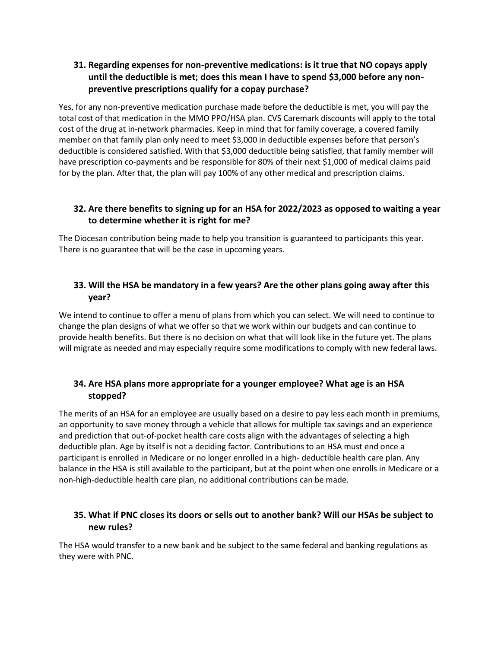# **31. Regarding expenses for non-preventive medications: is it true that NO copays apply until the deductible is met; does this mean I have to spend \$3,000 before any nonpreventive prescriptions qualify for a copay purchase?**

Yes, for any non-preventive medication purchase made before the deductible is met, you will pay the total cost of that medication in the MMO PPO/HSA plan. CVS Caremark discounts will apply to the total cost of the drug at in-network pharmacies. Keep in mind that for family coverage, a covered family member on that family plan only need to meet \$3,000 in deductible expenses before that person's deductible is considered satisfied. With that \$3,000 deductible being satisfied, that family member will have prescription co-payments and be responsible for 80% of their next \$1,000 of medical claims paid for by the plan. After that, the plan will pay 100% of any other medical and prescription claims.

# **32. Are there benefits to signing up for an HSA for 2022/2023 as opposed to waiting a year to determine whether it is right for me?**

The Diocesan contribution being made to help you transition is guaranteed to participants this year. There is no guarantee that will be the case in upcoming years.

# **33. Will the HSA be mandatory in a few years? Are the other plans going away after this year?**

We intend to continue to offer a menu of plans from which you can select. We will need to continue to change the plan designs of what we offer so that we work within our budgets and can continue to provide health benefits. But there is no decision on what that will look like in the future yet. The plans will migrate as needed and may especially require some modifications to comply with new federal laws.

# **34. Are HSA plans more appropriate for a younger employee? What age is an HSA stopped?**

The merits of an HSA for an employee are usually based on a desire to pay less each month in premiums, an opportunity to save money through a vehicle that allows for multiple tax savings and an experience and prediction that out-of-pocket health care costs align with the advantages of selecting a high deductible plan. Age by itself is not a deciding factor. Contributions to an HSA must end once a participant is enrolled in Medicare or no longer enrolled in a high- deductible health care plan. Any balance in the HSA is still available to the participant, but at the point when one enrolls in Medicare or a non-high-deductible health care plan, no additional contributions can be made.

# **35. What if PNC closes its doors or sells out to another bank? Will our HSAs be subject to new rules?**

The HSA would transfer to a new bank and be subject to the same federal and banking regulations as they were with PNC.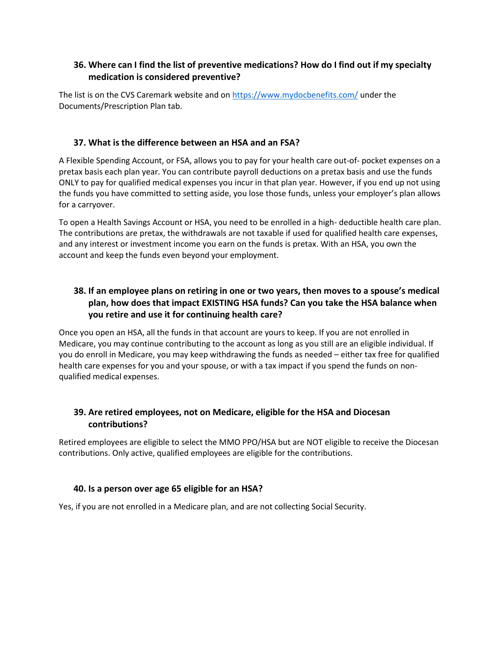## **36. Where can I find the list of preventive medications? How do I find out if my specialty medication is considered preventive?**

The list is on the CVS Caremark website and on<https://www.mydocbenefits.com/> under the Documents/Prescription Plan tab.

#### **37. What is the difference between an HSA and an FSA?**

A Flexible Spending Account, or FSA, allows you to pay for your health care out-of- pocket expenses on a pretax basis each plan year. You can contribute payroll deductions on a pretax basis and use the funds ONLY to pay for qualified medical expenses you incur in that plan year. However, if you end up not using the funds you have committed to setting aside, you lose those funds, unless your employer's plan allows for a carryover.

To open a Health Savings Account or HSA, you need to be enrolled in a high- deductible health care plan. The contributions are pretax, the withdrawals are not taxable if used for qualified health care expenses, and any interest or investment income you earn on the funds is pretax. With an HSA, you own the account and keep the funds even beyond your employment.

# **38. If an employee plans on retiring in one or two years, then moves to a spouse's medical plan, how does that impact EXISTING HSA funds? Can you take the HSA balance when you retire and use it for continuing health care?**

Once you open an HSA, all the funds in that account are yours to keep. If you are not enrolled in Medicare, you may continue contributing to the account as long as you still are an eligible individual. If you do enroll in Medicare, you may keep withdrawing the funds as needed – either tax free for qualified health care expenses for you and your spouse, or with a tax impact if you spend the funds on nonqualified medical expenses.

### **39. Are retired employees, not on Medicare, eligible for the HSA and Diocesan contributions?**

Retired employees are eligible to select the MMO PPO/HSA but are NOT eligible to receive the Diocesan contributions. Only active, qualified employees are eligible for the contributions.

#### **40. Is a person over age 65 eligible for an HSA?**

Yes, if you are not enrolled in a Medicare plan, and are not collecting Social Security.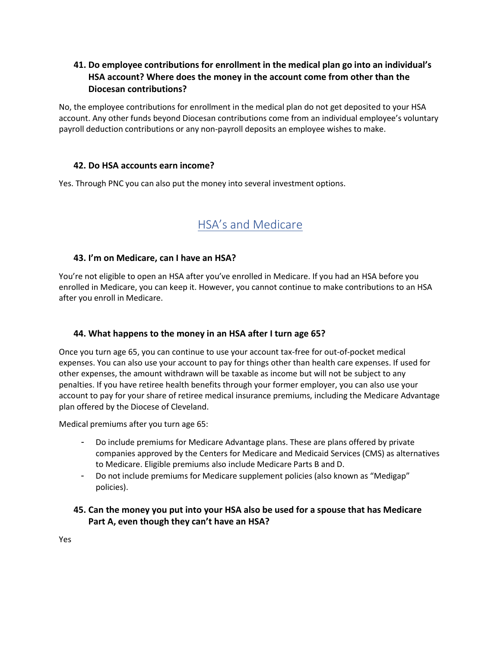## **41. Do employee contributions for enrollment in the medical plan go into an individual's HSA account? Where does the money in the account come from other than the Diocesan contributions?**

No, the employee contributions for enrollment in the medical plan do not get deposited to your HSA account. Any other funds beyond Diocesan contributions come from an individual employee's voluntary payroll deduction contributions or any non-payroll deposits an employee wishes to make.

#### **42. Do HSA accounts earn income?**

Yes. Through PNC you can also put the money into several investment options.

# HSA's and Medicare

#### **43. I'm on Medicare, can I have an HSA?**

You're not eligible to open an HSA after you've enrolled in Medicare. If you had an HSA before you enrolled in Medicare, you can keep it. However, you cannot continue to make contributions to an HSA after you enroll in Medicare.

#### **44. What happens to the money in an HSA after I turn age 65?**

Once you turn age 65, you can continue to use your account tax-free for out-of-pocket medical expenses. You can also use your account to pay for things other than health care expenses. If used for other expenses, the amount withdrawn will be taxable as income but will not be subject to any penalties. If you have retiree health benefits through your former employer, you can also use your account to pay for your share of retiree medical insurance premiums, including the Medicare Advantage plan offered by the Diocese of Cleveland.

Medical premiums after you turn age 65:

- Do include premiums for Medicare Advantage plans. These are plans offered by private companies approved by the Centers for Medicare and Medicaid Services (CMS) as alternatives to Medicare. Eligible premiums also include Medicare Parts B and D.
- Do not include premiums for Medicare supplement policies (also known as "Medigap" policies).

### **45. Can the money you put into your HSA also be used for a spouse that has Medicare Part A, even though they can't have an HSA?**

Yes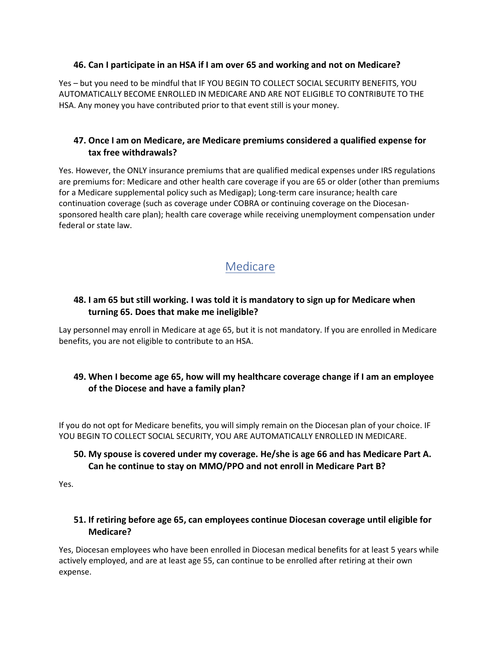#### **46. Can I participate in an HSA if I am over 65 and working and not on Medicare?**

Yes – but you need to be mindful that IF YOU BEGIN TO COLLECT SOCIAL SECURITY BENEFITS, YOU AUTOMATICALLY BECOME ENROLLED IN MEDICARE AND ARE NOT ELIGIBLE TO CONTRIBUTE TO THE HSA. Any money you have contributed prior to that event still is your money.

# **47. Once I am on Medicare, are Medicare premiums considered a qualified expense for tax free withdrawals?**

Yes. However, the ONLY insurance premiums that are qualified medical expenses under IRS regulations are premiums for: Medicare and other health care coverage if you are 65 or older (other than premiums for a Medicare supplemental policy such as Medigap); Long-term care insurance; health care continuation coverage (such as coverage under COBRA or continuing coverage on the Diocesansponsored health care plan); health care coverage while receiving unemployment compensation under federal or state law.

# Medicare

# **48. I am 65 but still working. I was told it is mandatory to sign up for Medicare when turning 65. Does that make me ineligible?**

Lay personnel may enroll in Medicare at age 65, but it is not mandatory. If you are enrolled in Medicare benefits, you are not eligible to contribute to an HSA.

# **49. When I become age 65, how will my healthcare coverage change if I am an employee of the Diocese and have a family plan?**

If you do not opt for Medicare benefits, you will simply remain on the Diocesan plan of your choice. IF YOU BEGIN TO COLLECT SOCIAL SECURITY, YOU ARE AUTOMATICALLY ENROLLED IN MEDICARE.

# **50. My spouse is covered under my coverage. He/she is age 66 and has Medicare Part A. Can he continue to stay on MMO/PPO and not enroll in Medicare Part B?**

Yes.

# **51. If retiring before age 65, can employees continue Diocesan coverage until eligible for Medicare?**

Yes, Diocesan employees who have been enrolled in Diocesan medical benefits for at least 5 years while actively employed, and are at least age 55, can continue to be enrolled after retiring at their own expense.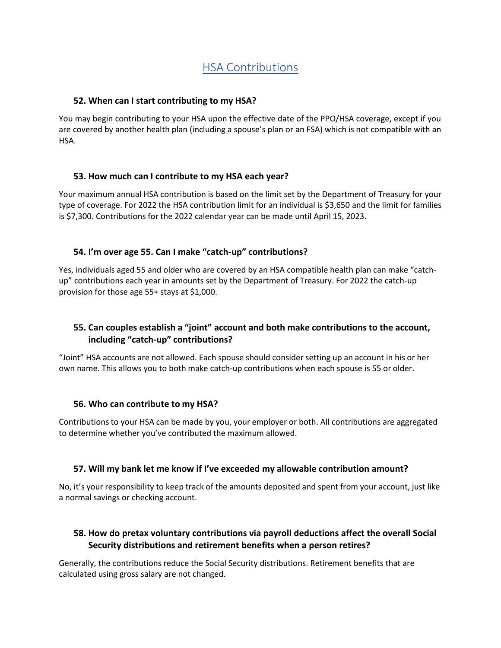# HSA Contributions

#### **52. When can I start contributing to my HSA?**

You may begin contributing to your HSA upon the effective date of the PPO/HSA coverage, except if you are covered by another health plan (including a spouse's plan or an FSA) which is not compatible with an HSA.

#### **53. How much can I contribute to my HSA each year?**

Your maximum annual HSA contribution is based on the limit set by the Department of Treasury for your type of coverage. For 2022 the HSA contribution limit for an individual is \$3,650 and the limit for families is \$7,300. Contributions for the 2022 calendar year can be made until April 15, 2023.

#### **54. I'm over age 55. Can I make "catch-up" contributions?**

Yes, individuals aged 55 and older who are covered by an HSA compatible health plan can make "catchup" contributions each year in amounts set by the Department of Treasury. For 2022 the catch-up provision for those age 55+ stays at \$1,000.

## **55. Can couples establish a "joint" account and both make contributions to the account, including "catch-up" contributions?**

"Joint" HSA accounts are not allowed. Each spouse should consider setting up an account in his or her own name. This allows you to both make catch-up contributions when each spouse is 55 or older.

#### **56. Who can contribute to my HSA?**

Contributions to your HSA can be made by you, your employer or both. All contributions are aggregated to determine whether you've contributed the maximum allowed.

#### **57. Will my bank let me know if I've exceeded my allowable contribution amount?**

No, it's your responsibility to keep track of the amounts deposited and spent from your account, just like a normal savings or checking account.

### **58. How do pretax voluntary contributions via payroll deductions affect the overall Social Security distributions and retirement benefits when a person retires?**

Generally, the contributions reduce the Social Security distributions. Retirement benefits that are calculated using gross salary are not changed.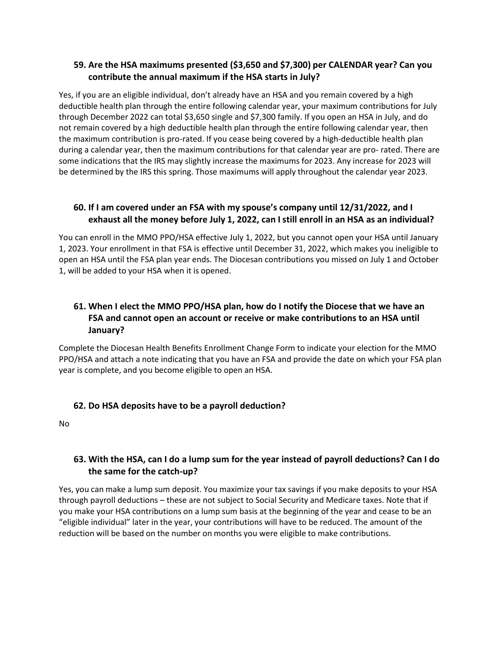## **59. Are the HSA maximums presented (\$3,650 and \$7,300) per CALENDAR year? Can you contribute the annual maximum if the HSA starts in July?**

Yes, if you are an eligible individual, don't already have an HSA and you remain covered by a high deductible health plan through the entire following calendar year, your maximum contributions for July through December 2022 can total \$3,650 single and \$7,300 family. If you open an HSA in July, and do not remain covered by a high deductible health plan through the entire following calendar year, then the maximum contribution is pro-rated. If you cease being covered by a high-deductible health plan during a calendar year, then the maximum contributions for that calendar year are pro- rated. There are some indications that the IRS may slightly increase the maximums for 2023. Any increase for 2023 will be determined by the IRS this spring. Those maximums will apply throughout the calendar year 2023.

## **60. If I am covered under an FSA with my spouse's company until 12/31/2022, and I exhaust all the money before July 1, 2022, can I still enroll in an HSA as an individual?**

You can enroll in the MMO PPO/HSA effective July 1, 2022, but you cannot open your HSA until January 1, 2023. Your enrollment in that FSA is effective until December 31, 2022, which makes you ineligible to open an HSA until the FSA plan year ends. The Diocesan contributions you missed on July 1 and October 1, will be added to your HSA when it is opened.

# **61. When I elect the MMO PPO/HSA plan, how do I notify the Diocese that we have an FSA and cannot open an account or receive or make contributions to an HSA until January?**

Complete the Diocesan Health Benefits Enrollment Change Form to indicate your election for the MMO PPO/HSA and attach a note indicating that you have an FSA and provide the date on which your FSA plan year is complete, and you become eligible to open an HSA.

# **62. Do HSA deposits have to be a payroll deduction?**

No

# **63. With the HSA, can I do a lump sum for the year instead of payroll deductions? Can I do the same for the catch-up?**

Yes, you can make a lump sum deposit. You maximize your tax savings if you make deposits to your HSA through payroll deductions – these are not subject to Social Security and Medicare taxes. Note that if you make your HSA contributions on a lump sum basis at the beginning of the year and cease to be an "eligible individual" later in the year, your contributions will have to be reduced. The amount of the reduction will be based on the number on months you were eligible to make contributions.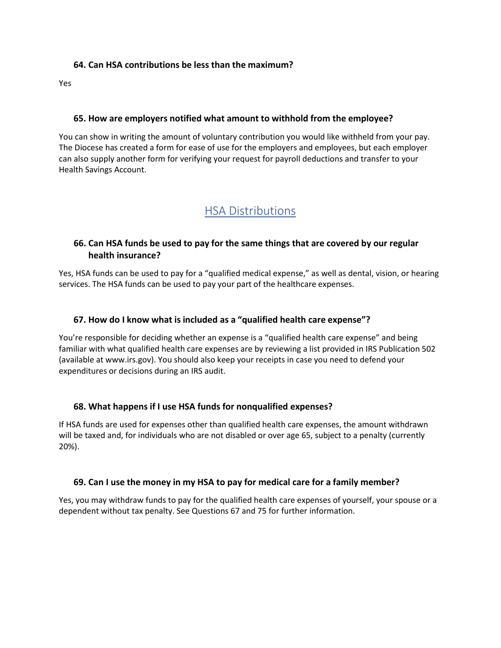#### **64. Can HSA contributions be less than the maximum?**

Yes

#### **65. How are employers notified what amount to withhold from the employee?**

You can show in writing the amount of voluntary contribution you would like withheld from your pay. The Diocese has created a form for ease of use for the employers and employees, but each employer can also supply another form for verifying your request for payroll deductions and transfer to your Health Savings Account.

# HSA Distributions

#### **66. Can HSA funds be used to pay for the same things that are covered by our regular health insurance?**

Yes, HSA funds can be used to pay for a "qualified medical expense," as well as dental, vision, or hearing services. The HSA funds can be used to pay your part of the healthcare expenses.

#### **67. How do I know what is included as a "qualified health care expense"?**

You're responsible for deciding whether an expense is a "qualified health care expense" and being familiar with what qualified health care expenses are by reviewing a list provided in IRS Publication 502 (available at www.irs.gov). You should also keep your receipts in case you need to defend your expenditures or decisions during an IRS audit.

#### **68. What happens if I use HSA funds for nonqualified expenses?**

If HSA funds are used for expenses other than qualified health care expenses, the amount withdrawn will be taxed and, for individuals who are not disabled or over age 65, subject to a penalty (currently 20%).

#### **69. Can I use the money in my HSA to pay for medical care for a family member?**

Yes, you may withdraw funds to pay for the qualified health care expenses of yourself, your spouse or a dependent without tax penalty. See Questions 67 and 75 for further information.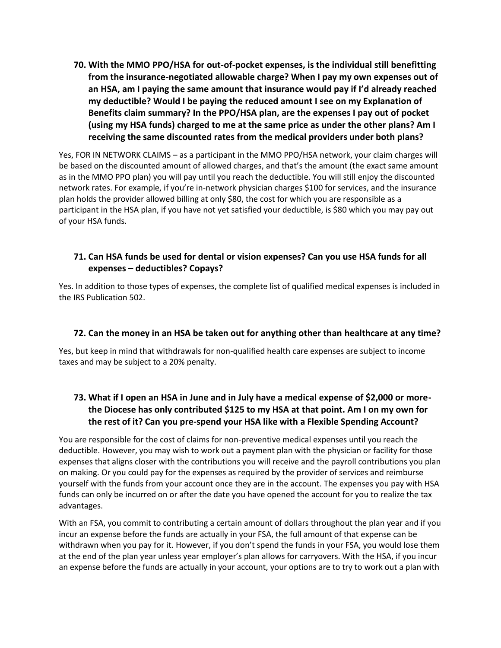**70. With the MMO PPO/HSA for out-of-pocket expenses, is the individual still benefitting from the insurance-negotiated allowable charge? When I pay my own expenses out of an HSA, am I paying the same amount that insurance would pay if I'd already reached my deductible? Would I be paying the reduced amount I see on my Explanation of Benefits claim summary? In the PPO/HSA plan, are the expenses I pay out of pocket (using my HSA funds) charged to me at the same price as under the other plans? Am I receiving the same discounted rates from the medical providers under both plans?**

Yes, FOR IN NETWORK CLAIMS – as a participant in the MMO PPO/HSA network, your claim charges will be based on the discounted amount of allowed charges, and that's the amount (the exact same amount as in the MMO PPO plan) you will pay until you reach the deductible. You will still enjoy the discounted network rates. For example, if you're in-network physician charges \$100 for services, and the insurance plan holds the provider allowed billing at only \$80, the cost for which you are responsible as a participant in the HSA plan, if you have not yet satisfied your deductible, is \$80 which you may pay out of your HSA funds.

# **71. Can HSA funds be used for dental or vision expenses? Can you use HSA funds for all expenses – deductibles? Copays?**

Yes. In addition to those types of expenses, the complete list of qualified medical expenses is included in the IRS Publication 502.

# **72. Can the money in an HSA be taken out for anything other than healthcare at any time?**

Yes, but keep in mind that withdrawals for non-qualified health care expenses are subject to income taxes and may be subject to a 20% penalty.

# **73. What if I open an HSA in June and in July have a medical expense of \$2,000 or morethe Diocese has only contributed \$125 to my HSA at that point. Am I on my own for the rest of it? Can you pre-spend your HSA like with a Flexible Spending Account?**

You are responsible for the cost of claims for non-preventive medical expenses until you reach the deductible. However, you may wish to work out a payment plan with the physician or facility for those expenses that aligns closer with the contributions you will receive and the payroll contributions you plan on making. Or you could pay for the expenses as required by the provider of services and reimburse yourself with the funds from your account once they are in the account. The expenses you pay with HSA funds can only be incurred on or after the date you have opened the account for you to realize the tax advantages.

With an FSA, you commit to contributing a certain amount of dollars throughout the plan year and if you incur an expense before the funds are actually in your FSA, the full amount of that expense can be withdrawn when you pay for it. However, if you don't spend the funds in your FSA, you would lose them at the end of the plan year unless year employer's plan allows for carryovers. With the HSA, if you incur an expense before the funds are actually in your account, your options are to try to work out a plan with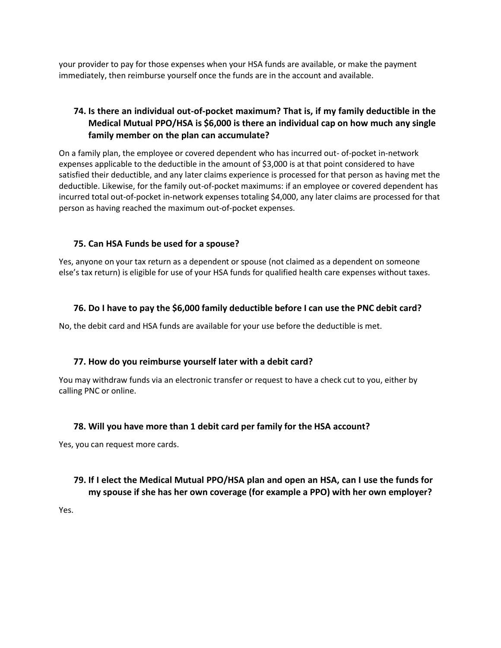your provider to pay for those expenses when your HSA funds are available, or make the payment immediately, then reimburse yourself once the funds are in the account and available.

# **74. Is there an individual out-of-pocket maximum? That is, if my family deductible in the Medical Mutual PPO/HSA is \$6,000 is there an individual cap on how much any single family member on the plan can accumulate?**

On a family plan, the employee or covered dependent who has incurred out- of-pocket in-network expenses applicable to the deductible in the amount of \$3,000 is at that point considered to have satisfied their deductible, and any later claims experience is processed for that person as having met the deductible. Likewise, for the family out-of-pocket maximums: if an employee or covered dependent has incurred total out-of-pocket in-network expenses totaling \$4,000, any later claims are processed for that person as having reached the maximum out-of-pocket expenses.

#### **75. Can HSA Funds be used for a spouse?**

Yes, anyone on your tax return as a dependent or spouse (not claimed as a dependent on someone else's tax return) is eligible for use of your HSA funds for qualified health care expenses without taxes.

### **76. Do I have to pay the \$6,000 family deductible before I can use the PNC debit card?**

No, the debit card and HSA funds are available for your use before the deductible is met.

#### **77. How do you reimburse yourself later with a debit card?**

You may withdraw funds via an electronic transfer or request to have a check cut to you, either by calling PNC or online.

#### **78. Will you have more than 1 debit card per family for the HSA account?**

Yes, you can request more cards.

### **79. If I elect the Medical Mutual PPO/HSA plan and open an HSA, can I use the funds for my spouse if she has her own coverage (for example a PPO) with her own employer?**

Yes.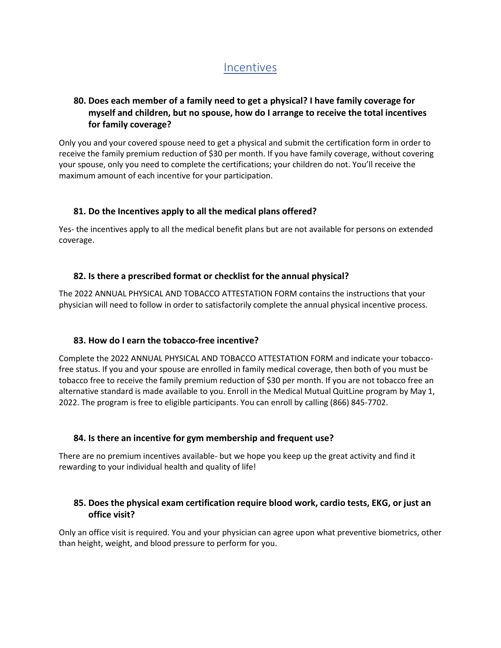# Incentives

# **80. Does each member of a family need to get a physical? I have family coverage for myself and children, but no spouse, how do I arrange to receive the total incentives for family coverage?**

Only you and your covered spouse need to get a physical and submit the certification form in order to receive the family premium reduction of \$30 per month. If you have family coverage, without covering your spouse, only you need to complete the certifications; your children do not. You'll receive the maximum amount of each incentive for your participation.

### **81. Do the Incentives apply to all the medical plans offered?**

Yes- the incentives apply to all the medical benefit plans but are not available for persons on extended coverage.

### **82. Is there a prescribed format or checklist for the annual physical?**

The 2022 ANNUAL PHYSICAL AND TOBACCO ATTESTATION FORM contains the instructions that your physician will need to follow in order to satisfactorily complete the annual physical incentive process.

#### **83. How do I earn the tobacco-free incentive?**

Complete the 2022 ANNUAL PHYSICAL AND TOBACCO ATTESTATION FORM and indicate your tobaccofree status. If you and your spouse are enrolled in family medical coverage, then both of you must be tobacco free to receive the family premium reduction of \$30 per month. If you are not tobacco free an alternative standard is made available to you. Enroll in the Medical Mutual QuitLine program by May 1, 2022. The program is free to eligible participants. You can enroll by calling (866) 845-7702.

#### **84. Is there an incentive for gym membership and frequent use?**

There are no premium incentives available- but we hope you keep up the great activity and find it rewarding to your individual health and quality of life!

# **85. Does the physical exam certification require blood work, cardio tests, EKG, or just an office visit?**

Only an office visit is required. You and your physician can agree upon what preventive biometrics, other than height, weight, and blood pressure to perform for you.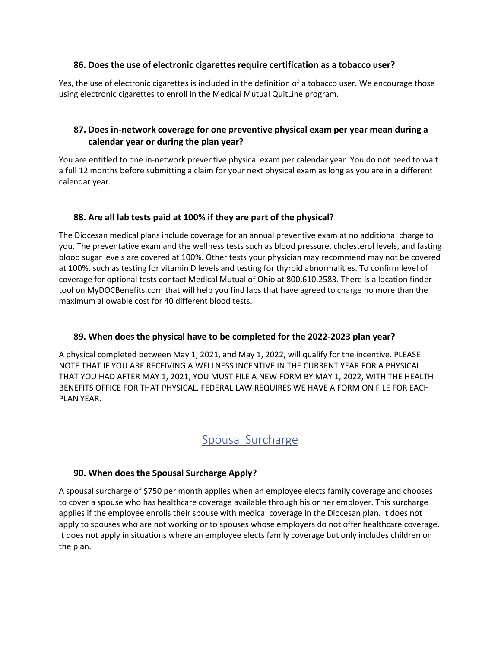#### **86. Does the use of electronic cigarettes require certification as a tobacco user?**

Yes, the use of electronic cigarettes is included in the definition of a tobacco user. We encourage those using electronic cigarettes to enroll in the Medical Mutual QuitLine program.

### **87. Does in-network coverage for one preventive physical exam per year mean during a calendar year or during the plan year?**

You are entitled to one in-network preventive physical exam per calendar year. You do not need to wait a full 12 months before submitting a claim for your next physical exam as long as you are in a different calendar year.

#### **88. Are all lab tests paid at 100% if they are part of the physical?**

The Diocesan medical plans include coverage for an annual preventive exam at no additional charge to you. The preventative exam and the wellness tests such as blood pressure, cholesterol levels, and fasting blood sugar levels are covered at 100%. Other tests your physician may recommend may not be covered at 100%, such as testing for vitamin D levels and testing for thyroid abnormalities. To confirm level of coverage for optional tests contact Medical Mutual of Ohio at 800.610.2583. There is a location finder tool on MyDOCBenefits.com that will help you find labs that have agreed to charge no more than the maximum allowable cost for 40 different blood tests.

#### **89. When does the physical have to be completed for the 2022-2023 plan year?**

A physical completed between May 1, 2021, and May 1, 2022, will qualify for the incentive. PLEASE NOTE THAT IF YOU ARE RECEIVING A WELLNESS INCENTIVE IN THE CURRENT YEAR FOR A PHYSICAL THAT YOU HAD AFTER MAY 1, 2021, YOU MUST FILE A NEW FORM BY MAY 1, 2022, WITH THE HEALTH BENEFITS OFFICE FOR THAT PHYSICAL. FEDERAL LAW REQUIRES WE HAVE A FORM ON FILE FOR EACH PLAN YEAR.

# Spousal Surcharge

# **90. When does the Spousal Surcharge Apply?**

A spousal surcharge of \$750 per month applies when an employee elects family coverage and chooses to cover a spouse who has healthcare coverage available through his or her employer. This surcharge applies if the employee enrolls their spouse with medical coverage in the Diocesan plan. It does not apply to spouses who are not working or to spouses whose employers do not offer healthcare coverage. It does not apply in situations where an employee elects family coverage but only includes children on the plan.